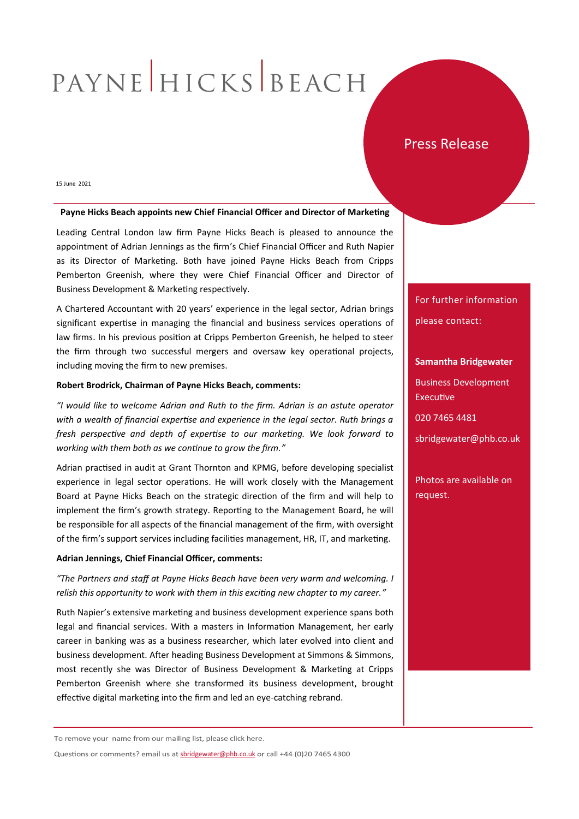# PAYNE HICKS BEACH

## Press Release

15 June 2021

#### **Payne Hicks Beach appoints new Chief Financial Officer and Director of Marketing**

Leading Central London law firm Payne Hicks Beach is pleased to announce the appointment of Adrian Jennings as the firm's Chief Financial Officer and Ruth Napier as its Director of Marketing. Both have joined Payne Hicks Beach from Cripps Pemberton Greenish, where they were Chief Financial Officer and Director of Business Development & Marketing respectively.

A Chartered Accountant with 20 years' experience in the legal sector, Adrian brings significant expertise in managing the financial and business services operations of law firms. In his previous position at Cripps Pemberton Greenish, he helped to steer the firm through two successful mergers and oversaw key operational projects, including moving the firm to new premises.

#### **Robert Brodrick, Chairman of Payne Hicks Beach, comments:**

*"I would like to welcome Adrian and Ruth to the firm. Adrian is an astute operator with a wealth of financial expertise and experience in the legal sector. Ruth brings a fresh perspective and depth of expertise to our marketing. We look forward to working with them both as we continue to grow the firm."*

Adrian practised in audit at Grant Thornton and KPMG, before developing specialist experience in legal sector operations. He will work closely with the Management Board at Payne Hicks Beach on the strategic direction of the firm and will help to implement the firm's growth strategy. Reporting to the Management Board, he will be responsible for all aspects of the financial management of the firm, with oversight of the firm's support services including facilities management, HR, IT, and marketing.

### **Adrian Jennings, Chief Financial Officer, comments:**

*"The Partners and staff at Payne Hicks Beach have been very warm and welcoming. I relish this opportunity to work with them in this exciting new chapter to my career."*

Ruth Napier's extensive marketing and business development experience spans both legal and financial services. With a masters in Information Management, her early career in banking was as a business researcher, which later evolved into client and business development. After heading Business Development at Simmons & Simmons, most recently she was Director of Business Development & Marketing at Cripps Pemberton Greenish where she transformed its business development, brought effective digital marketing into the firm and led an eye-catching rebrand.

For further information please contact:

#### **Samantha Bridgewater**

Business Development Executive

020 7465 4481

sbridgewater@phb.co.uk

Photos are available on request.

To remove your name from our mailing list, please click here.

Questions or comments? email us at [sbridgewater@phb.co.uk](mailto:sbridgewater@phb.co.uk) or call +44 (0)20 7465 4300